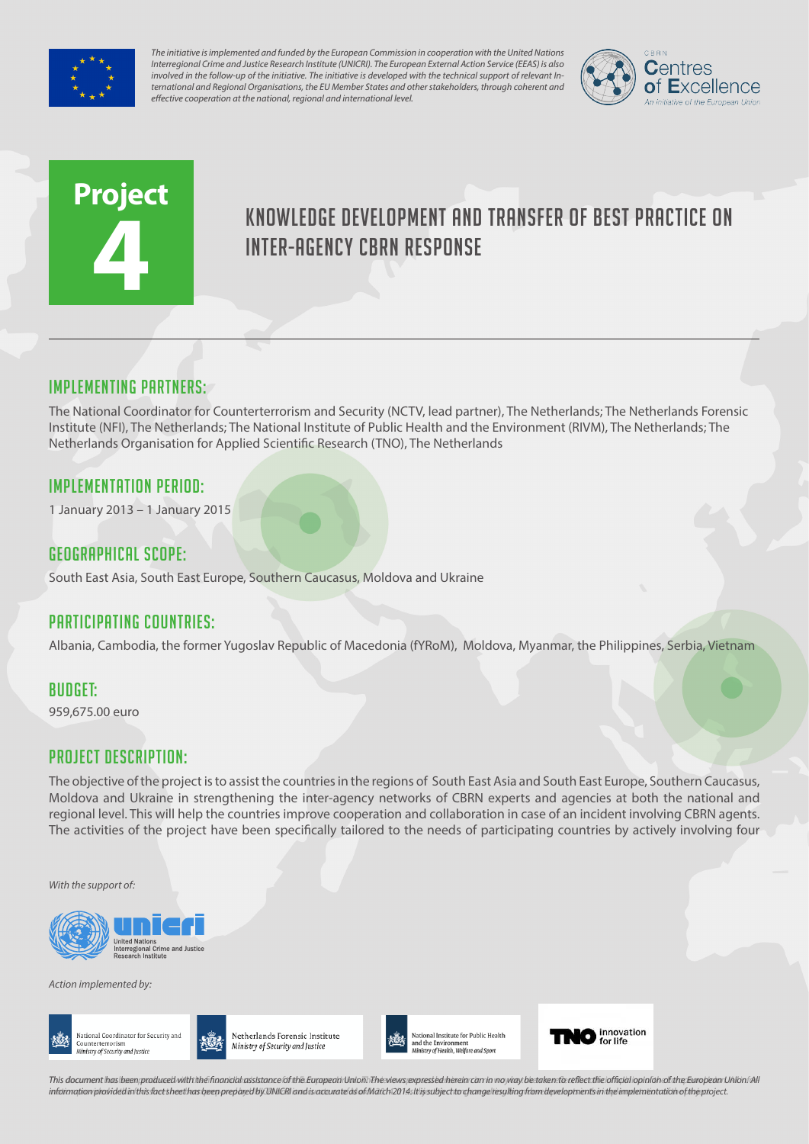

*The initiative is implemented and funded by the European Commission in cooperation with the United Nations Interregional Crime and Justice Research Institute (UNICRI). The European External Action Service (EEAS) is also involved in the follow-up of the initiative. The initiative is developed with the technical support of relevant International and Regional Organisations, the EU Member States and other stakeholders, through coherent and effective cooperation at the national, regional and international level.*



# **Project 4**

# Knowledge development and transfer of best practice on inter-agency CBRN response

# Implementing partners:

The National Coordinator for Counterterrorism and Security (NCTV, lead partner), The Netherlands; The Netherlands Forensic Institute (NFI), The Netherlands; The National Institute of Public Health and the Environment (RIVM), The Netherlands; The Netherlands Organisation for Applied Scientific Research (TNO), The Netherlands

## Implementation Period:

1 January 2013 – 1 January 2015

#### Geographical scope:

South East Asia, South East Europe, Southern Caucasus, Moldova and Ukraine

## Participating countries:

Albania, Cambodia, the former Yugoslav Republic of Macedonia (fYRoM), Moldova, Myanmar, the Philippines, Serbia, Vietnam

#### Budget:

959,675.00 euro

## Project Description:

The objective of the project is to assist the countries in the regions of South East Asia and South East Europe, Southern Caucasus, Moldova and Ukraine in strengthening the inter-agency networks of CBRN experts and agencies at both the national and regional level. This will help the countries improve cooperation and collaboration in case of an incident involving CBRN agents. The activities of the project have been specifically tailored to the needs of participating countries by actively involving four

*With the support of:*



*Action implemented by:*





Netherlands Forensic Institute Ministry of Security and Justice



O innovation

This document has been produced with the financial assistance of the European Union. The views expressed herein can in no way be taken to reflect the official opinion of the European Union/All information provided in this fact sheet has been prepared by UNICRI and is accurate as of March 2014s It is subject to change resulting from developments in the implementation of the project.